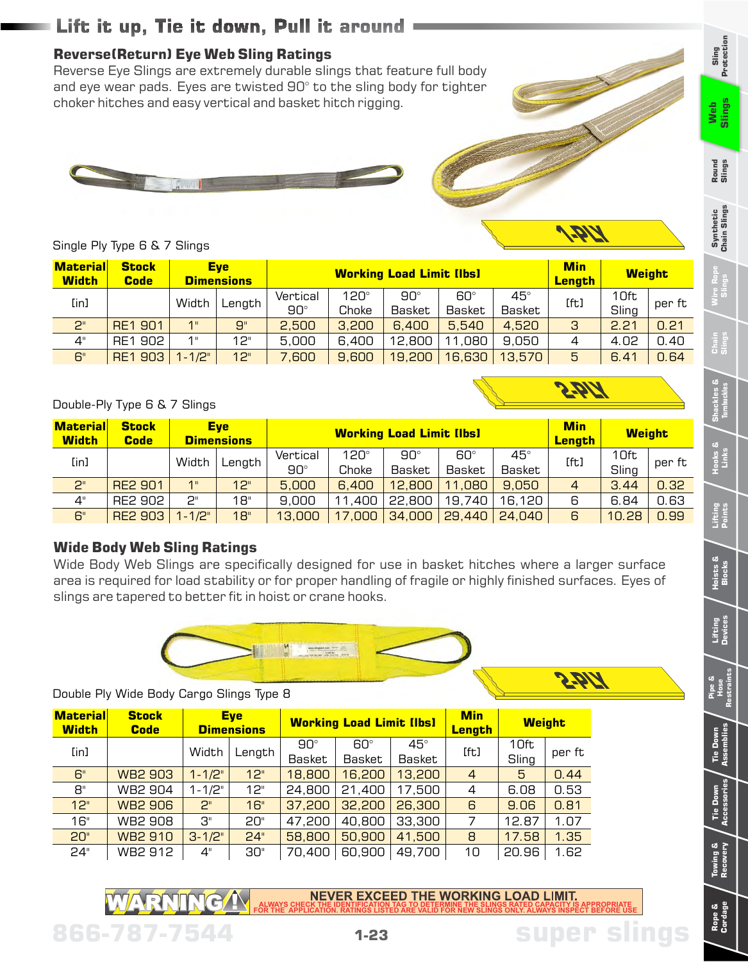# **Lift it up, Tie it down, Pull it around**

## **Reverse(Return) Eye Web Sling Ratings**

Reverse Eye Slings are extremely durable slings that feature full body and eye wear pads. Eyes are twisted 90° to the sling body for tighter choker hitches and easy vertical and basket hitch rigging.





n Din

2.811

Single Ply Type 6 & 7 Slings

| <b>Material</b><br><b>Width</b> | <b>Stock</b><br><b>Code</b> | <b>Eve</b><br><b>Dimensions</b> |        |            | <b>Min</b><br><b>Lenath</b> | <b>Weight</b> |               |            |              |       |        |  |
|---------------------------------|-----------------------------|---------------------------------|--------|------------|-----------------------------|---------------|---------------|------------|--------------|-------|--------|--|
| [in]                            |                             | Width                           |        |            | Vertical                    | $120^\circ$   | $90^\circ$    | $60^\circ$ | $45^{\circ}$ | [ft]  | 10ft   |  |
|                                 |                             |                                 | Length | $90^\circ$ | Choke                       | Basket        | <b>Basket</b> | Basket     |              | Sling | per ft |  |
| 2"                              | <b>RE1 901</b>              | 1 <sup>11</sup>                 | 9"     | 2,500      | 3,200                       | 6,400         | 5,540         | 4,520      | 3            | 2.21  | 0.21   |  |
| 4"                              | RE1 902                     | 1 <sup>  </sup>                 | 12"    | 5,000      | 6,400                       | 12,800        | 11,080        | 9.050      | 4            | 4.02  | 0.40   |  |
| 6"                              | RE1 903                     | $1 - 1/2$ "                     | 12"    | 7,600      | 9,600                       | 19,200        | 16,630        | 13,570     | 5            | 6.41  | 0.64   |  |

Double-Ply Type 6 & 7 Slings

| <b>Material</b><br><b>Width</b>    | <b>Stock</b><br><b>Code</b> | <b>Eye</b><br><b>Dimensions</b> |        | <b>Working Load Limit [lbs]</b> |        |               |               |            | <b>Min</b><br>Lenath | <b>Weight</b> |        |
|------------------------------------|-----------------------------|---------------------------------|--------|---------------------------------|--------|---------------|---------------|------------|----------------------|---------------|--------|
| [in]                               |                             | Width                           | Length | Vertical                        | 120°   | $90^\circ$    | 60°           | $45^\circ$ | [ft]                 | 10ft          | per ft |
|                                    |                             |                                 |        | $90^\circ$                      | Choke  | <b>Basket</b> | <b>Basket</b> | Basket     |                      | Sling         |        |
| 2 <sup>0</sup>                     | <b>RE2 901</b>              | 1"                              | 12"    | 5,000                           | 6,400  | 12,800        | 11,080        | 9,050      | 4                    | 3.44          | 0.32   |
| $4^{\scriptscriptstyle\mathsf{H}}$ | RE2 902                     | 2"                              | 18"    | 9,000                           | 11,400 | 22,800        | 19,740        | 16,120     | 6                    | 6.84          | 0.63   |
| 6"                                 | <b>RE2 903</b>              | $1 - 1/2$ "                     | 18"    | 13,000                          | 17,000 | 34,000        | 29,440        | 24,040     | 6                    | 10.28         | 0.99   |

#### **Wide Body Web Sling Ratings**

Wide Body Web Slings are specifically designed for use in basket hitches where a larger surface area is required for load stability or for proper handling of fragile or highly finished surfaces. Eyes of slings are tapered to better fit in hoist or crane hooks.



Double Ply Wide Body Cargo Slings Type 8

| <b>Material</b><br><b>Width</b> | <b>Stock</b><br><b>Code</b> | <b>Eye</b><br><b>Dimensions</b> |        |                      | <b>Working Load Limit [lbs]</b> |                      | <b>Min</b><br><b>Length</b> | <b>Weight</b> |        |
|---------------------------------|-----------------------------|---------------------------------|--------|----------------------|---------------------------------|----------------------|-----------------------------|---------------|--------|
| [in]                            |                             | Width                           | Length | $90^\circ$<br>Basket | 60°<br>Basket                   | $45^\circ$<br>Basket | [ft]                        | 10ft<br>Sling | per ft |
| 6"                              | <b>WB2 903</b>              | $1 - 1/2$ "                     | 12"    | 18,800               | 16,200                          | 13,200               | $\overline{4}$              | 5             | 0.44   |
| 8"                              | <b>WB2 904</b>              | $1 - 1/2$ "                     | 12"    | 24,800               | 21,400                          | 17,500               | 4                           | 6.08          | 0.53   |
| 12"                             | <b>WB2 906</b>              | 2"                              | 16"    | 37,200               | 32,200                          | 26,300               | 6                           | 9.06          | 0.81   |
| 16"                             | <b>WB2 908</b>              | $B$ "                           | 20"    | 47,200               | 40,800                          | 33,300               | 7                           | 12.87         | 1.07   |
| 20"                             | <b>WB2 910</b>              | $3 - 1/2"$                      | 24"    | 58,800               | 50,900                          | 41,500               | 8                           | 17.58         | 1.35   |
| 24"                             | WB2 912                     | 4"                              | 30"    | 70,400               | 60,900                          | 49,700               | 10                          | 20.96         | 1.62   |

**ALWAYS CHECK THE IDENTIFICATION TAG TO DETERMINE THE SLINGS RATED CAPACITY IS APPROPRIATE FOR THE APPLICATION. RATINGS LISTED ARE VALID FOR NEW SLINGS ONLY. ALWAYS INSPECT BEFORE USE**

**1-23**

**866-787-7544 super slings**

**Sling Protection**

**Synthetic Chain Slings**

**Pipe & Hose Restraints**

**Tie Down Assemblies**

**Tie Down Accessories**

**Towing & Recovery**

**Rope & Cordage**

**Lifting Devices**